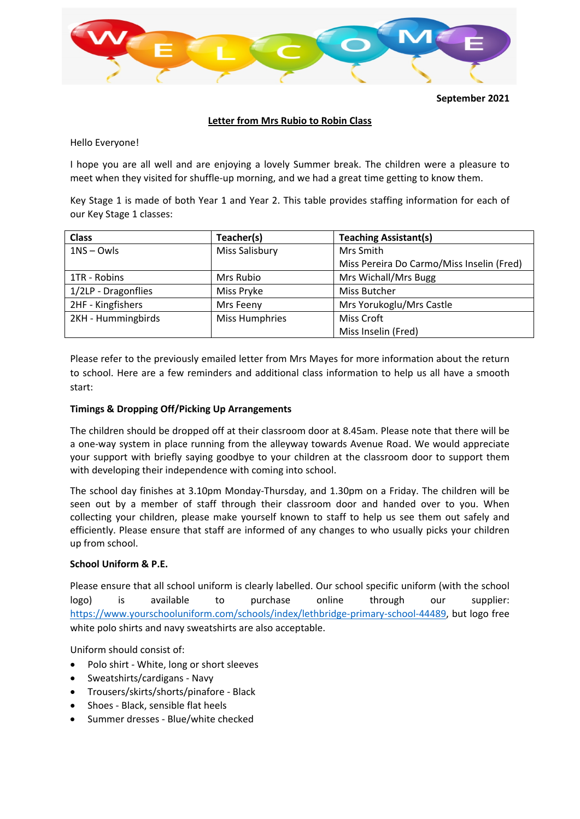

**September 2021**

# **Letter from Mrs Rubio to Robin Class**

Hello Everyone!

I hope you are all well and are enjoying a lovely Summer break. The children were a pleasure to meet when they visited for shuffle-up morning, and we had a great time getting to know them.

Key Stage 1 is made of both Year 1 and Year 2. This table provides staffing information for each of our Key Stage 1 classes:

| <b>Class</b>        | Teacher(s)            | <b>Teaching Assistant(s)</b>              |
|---------------------|-----------------------|-------------------------------------------|
| $1NS - Owls$        | Miss Salisbury        | Mrs Smith                                 |
|                     |                       | Miss Pereira Do Carmo/Miss Inselin (Fred) |
| 1TR - Robins        | Mrs Rubio             | Mrs Wichall/Mrs Bugg                      |
| 1/2LP - Dragonflies | Miss Pryke            | Miss Butcher                              |
| 2HF - Kingfishers   | Mrs Feeny             | Mrs Yorukoglu/Mrs Castle                  |
| 2KH - Hummingbirds  | <b>Miss Humphries</b> | <b>Miss Croft</b>                         |
|                     |                       | Miss Inselin (Fred)                       |

Please refer to the previously emailed letter from Mrs Mayes for more information about the return to school. Here are a few reminders and additional class information to help us all have a smooth start:

# **Timings & Dropping Off/Picking Up Arrangements**

The children should be dropped off at their classroom door at 8.45am. Please note that there will be a one‐way system in place running from the alleyway towards Avenue Road. We would appreciate your support with briefly saying goodbye to your children at the classroom door to support them with developing their independence with coming into school.

The school day finishes at 3.10pm Monday‐Thursday, and 1.30pm on a Friday. The children will be seen out by a member of staff through their classroom door and handed over to you. When collecting your children, please make yourself known to staff to help us see them out safely and efficiently. Please ensure that staff are informed of any changes to who usually picks your children up from school.

# **School Uniform & P.E.**

Please ensure that all school uniform is clearly labelled. Our school specific uniform (with the school logo) is available to purchase online through our supplier: https://www.yourschooluniform.com/schools/index/lethbridge‐primary‐school‐44489, but logo free white polo shirts and navy sweatshirts are also acceptable.

Uniform should consist of:

- Polo shirt ‐ White, long or short sleeves
- Sweatshirts/cardigans ‐ Navy
- Trousers/skirts/shorts/pinafore ‐ Black
- Shoes ‐ Black, sensible flat heels
- Summer dresses ‐ Blue/white checked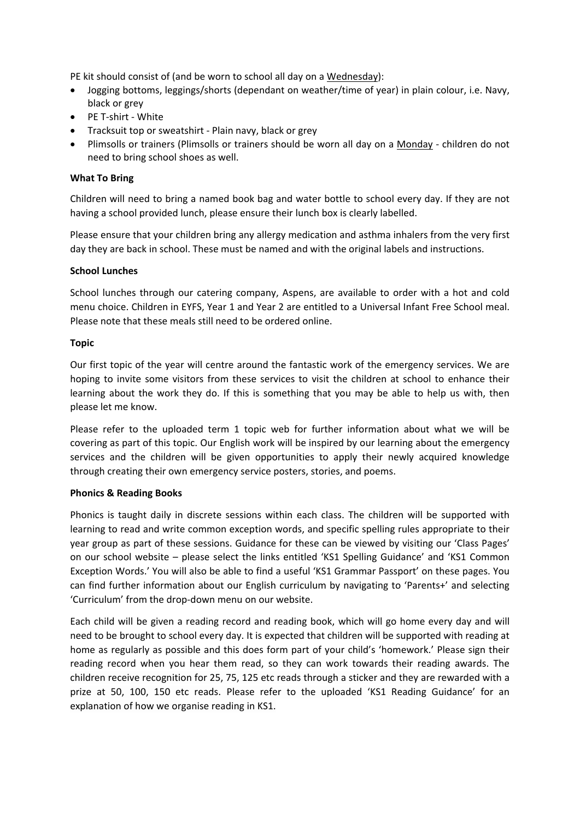PE kit should consist of (and be worn to school all day on a Wednesday):

- Jogging bottoms, leggings/shorts (dependant on weather/time of year) in plain colour, i.e. Navy, black or grey
- PE T-shirt White
- Tracksuit top or sweatshirt Plain navy, black or grey
- Plimsolls or trainers (Plimsolls or trainers should be worn all day on a Monday ‐ children do not need to bring school shoes as well.

### **What To Bring**

Children will need to bring a named book bag and water bottle to school every day. If they are not having a school provided lunch, please ensure their lunch box is clearly labelled.

Please ensure that your children bring any allergy medication and asthma inhalers from the very first day they are back in school. These must be named and with the original labels and instructions.

### **School Lunches**

School lunches through our catering company, Aspens, are available to order with a hot and cold menu choice. Children in EYFS, Year 1 and Year 2 are entitled to a Universal Infant Free School meal. Please note that these meals still need to be ordered online.

### **Topic**

Our first topic of the year will centre around the fantastic work of the emergency services. We are hoping to invite some visitors from these services to visit the children at school to enhance their learning about the work they do. If this is something that you may be able to help us with, then please let me know.

Please refer to the uploaded term 1 topic web for further information about what we will be covering as part of this topic. Our English work will be inspired by our learning about the emergency services and the children will be given opportunities to apply their newly acquired knowledge through creating their own emergency service posters, stories, and poems.

# **Phonics & Reading Books**

Phonics is taught daily in discrete sessions within each class. The children will be supported with learning to read and write common exception words, and specific spelling rules appropriate to their year group as part of these sessions. Guidance for these can be viewed by visiting our 'Class Pages' on our school website – please select the links entitled 'KS1 Spelling Guidance' and 'KS1 Common Exception Words.' You will also be able to find a useful 'KS1 Grammar Passport' on these pages. You can find further information about our English curriculum by navigating to 'Parents+' and selecting 'Curriculum' from the drop‐down menu on our website.

Each child will be given a reading record and reading book, which will go home every day and will need to be brought to school every day. It is expected that children will be supported with reading at home as regularly as possible and this does form part of your child's 'homework.' Please sign their reading record when you hear them read, so they can work towards their reading awards. The children receive recognition for 25, 75, 125 etc reads through a sticker and they are rewarded with a prize at 50, 100, 150 etc reads. Please refer to the uploaded 'KS1 Reading Guidance' for an explanation of how we organise reading in KS1.